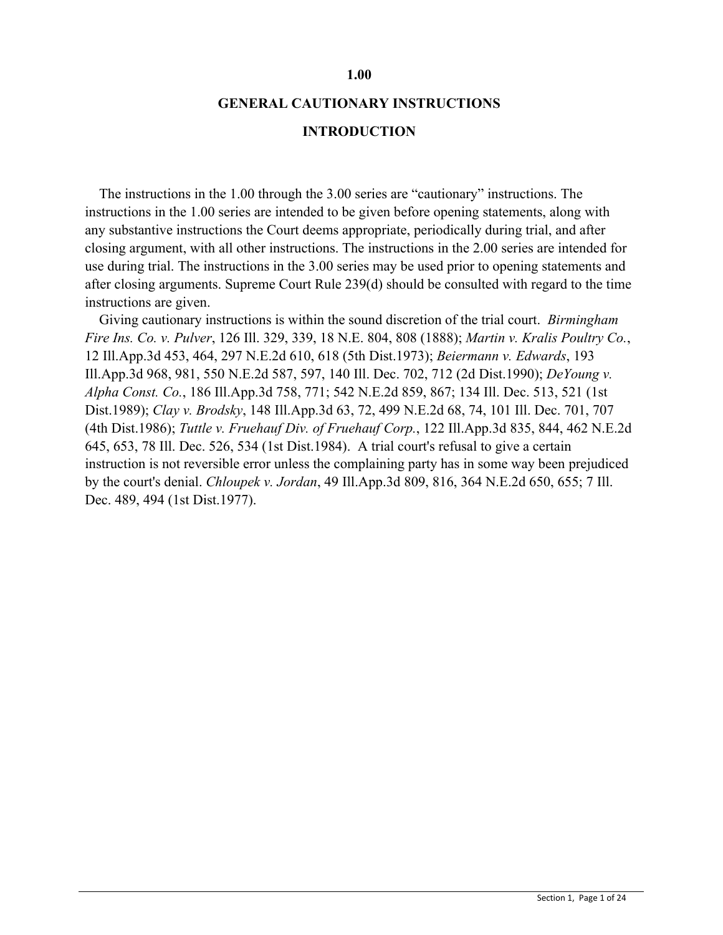#### **1.00**

#### **GENERAL CAUTIONARY INSTRUCTIONS**

#### **INTRODUCTION**

 The instructions in the 1.00 through the 3.00 series are "cautionary" instructions. The instructions in the 1.00 series are intended to be given before opening statements, along with any substantive instructions the Court deems appropriate, periodically during trial, and after closing argument, with all other instructions. The instructions in the 2.00 series are intended for use during trial. The instructions in the 3.00 series may be used prior to opening statements and after closing arguments. Supreme Court Rule 239(d) should be consulted with regard to the time instructions are given.

 Giving cautionary instructions is within the sound discretion of the trial court. *Birmingham Fire Ins. Co. v. Pulver*, 126 Ill. 329, 339, 18 N.E. 804, 808 (1888); *Martin v. Kralis Poultry Co.*, 12 Ill.App.3d 453, 464, 297 N.E.2d 610, 618 (5th Dist.1973); *Beiermann v. Edwards*, 193 Ill.App.3d 968, 981, 550 N.E.2d 587, 597, 140 Ill. Dec. 702, 712 (2d Dist.1990); *DeYoung v. Alpha Const. Co.*, 186 Ill.App.3d 758, 771; 542 N.E.2d 859, 867; 134 Ill. Dec. 513, 521 (1st Dist.1989); *Clay v. Brodsky*, 148 Ill.App.3d 63, 72, 499 N.E.2d 68, 74, 101 Ill. Dec. 701, 707 (4th Dist.1986); *Tuttle v. Fruehauf Div. of Fruehauf Corp.*, 122 Ill.App.3d 835, 844, 462 N.E.2d 645, 653, 78 Ill. Dec. 526, 534 (1st Dist.1984). A trial court's refusal to give a certain instruction is not reversible error unless the complaining party has in some way been prejudiced by the court's denial. *Chloupek v. Jordan*, 49 Ill.App.3d 809, 816, 364 N.E.2d 650, 655; 7 Ill. Dec. 489, 494 (1st Dist.1977).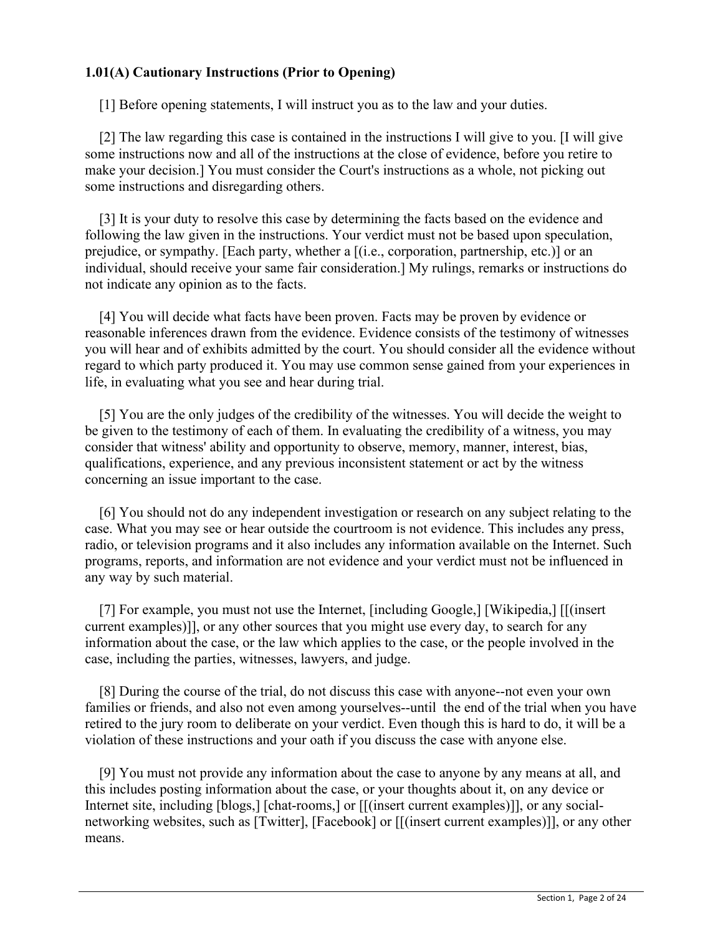# **1.01(A) Cautionary Instructions (Prior to Opening)**

[1] Before opening statements, I will instruct you as to the law and your duties.

 [2] The law regarding this case is contained in the instructions I will give to you. [I will give some instructions now and all of the instructions at the close of evidence, before you retire to make your decision.] You must consider the Court's instructions as a whole, not picking out some instructions and disregarding others.

 [3] It is your duty to resolve this case by determining the facts based on the evidence and following the law given in the instructions. Your verdict must not be based upon speculation, prejudice, or sympathy. [Each party, whether a [(i.e., corporation, partnership, etc.)] or an individual, should receive your same fair consideration.] My rulings, remarks or instructions do not indicate any opinion as to the facts.

 [4] You will decide what facts have been proven. Facts may be proven by evidence or reasonable inferences drawn from the evidence. Evidence consists of the testimony of witnesses you will hear and of exhibits admitted by the court. You should consider all the evidence without regard to which party produced it. You may use common sense gained from your experiences in life, in evaluating what you see and hear during trial.

 [5] You are the only judges of the credibility of the witnesses. You will decide the weight to be given to the testimony of each of them. In evaluating the credibility of a witness, you may consider that witness' ability and opportunity to observe, memory, manner, interest, bias, qualifications, experience, and any previous inconsistent statement or act by the witness concerning an issue important to the case.

 [6] You should not do any independent investigation or research on any subject relating to the case. What you may see or hear outside the courtroom is not evidence. This includes any press, radio, or television programs and it also includes any information available on the Internet. Such programs, reports, and information are not evidence and your verdict must not be influenced in any way by such material.

 [7] For example, you must not use the Internet, [including Google,] [Wikipedia,] [[(insert current examples)]], or any other sources that you might use every day, to search for any information about the case, or the law which applies to the case, or the people involved in the case, including the parties, witnesses, lawyers, and judge.

 [8] During the course of the trial, do not discuss this case with anyone--not even your own families or friends, and also not even among yourselves--until the end of the trial when you have retired to the jury room to deliberate on your verdict. Even though this is hard to do, it will be a violation of these instructions and your oath if you discuss the case with anyone else.

 [9] You must not provide any information about the case to anyone by any means at all, and this includes posting information about the case, or your thoughts about it, on any device or Internet site, including [blogs,] [chat-rooms,] or [[(insert current examples)]], or any socialnetworking websites, such as [Twitter], [Facebook] or [[(insert current examples)]], or any other means.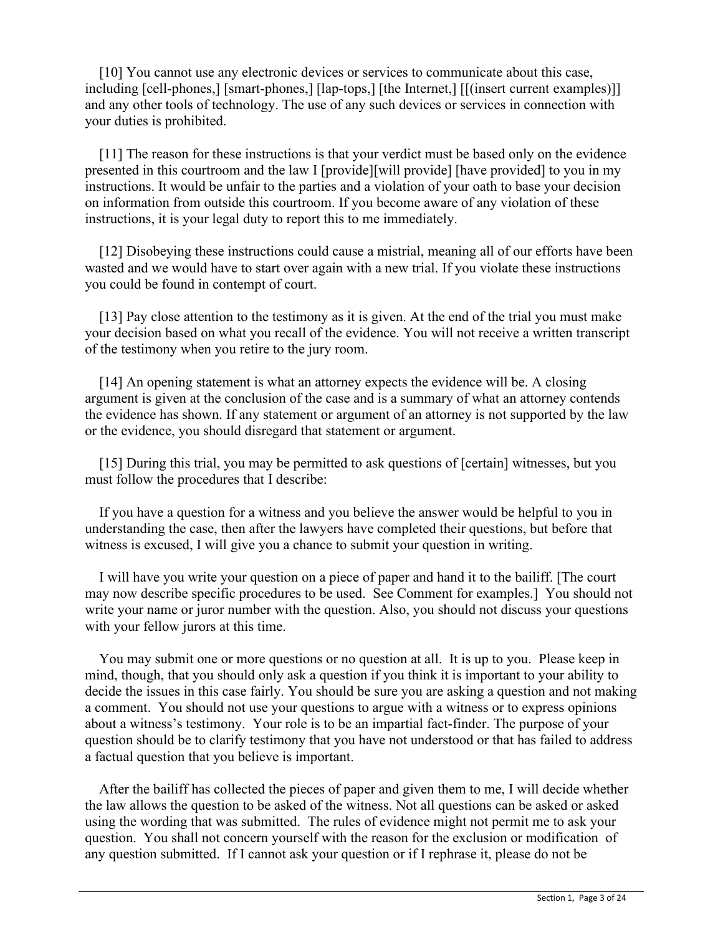[10] You cannot use any electronic devices or services to communicate about this case, including [cell-phones,] [smart-phones,] [lap-tops,] [the Internet,] [[(insert current examples)]] and any other tools of technology. The use of any such devices or services in connection with your duties is prohibited.

[11] The reason for these instructions is that your verdict must be based only on the evidence presented in this courtroom and the law I [provide][will provide] [have provided] to you in my instructions. It would be unfair to the parties and a violation of your oath to base your decision on information from outside this courtroom. If you become aware of any violation of these instructions, it is your legal duty to report this to me immediately.

 [12] Disobeying these instructions could cause a mistrial, meaning all of our efforts have been wasted and we would have to start over again with a new trial. If you violate these instructions you could be found in contempt of court.

[13] Pay close attention to the testimony as it is given. At the end of the trial you must make your decision based on what you recall of the evidence. You will not receive a written transcript of the testimony when you retire to the jury room.

 [14] An opening statement is what an attorney expects the evidence will be. A closing argument is given at the conclusion of the case and is a summary of what an attorney contends the evidence has shown. If any statement or argument of an attorney is not supported by the law or the evidence, you should disregard that statement or argument.

[15] During this trial, you may be permitted to ask questions of [certain] witnesses, but you must follow the procedures that I describe:

 If you have a question for a witness and you believe the answer would be helpful to you in understanding the case, then after the lawyers have completed their questions, but before that witness is excused, I will give you a chance to submit your question in writing.

 I will have you write your question on a piece of paper and hand it to the bailiff. [The court may now describe specific procedures to be used. See Comment for examples.] You should not write your name or juror number with the question. Also, you should not discuss your questions with your fellow jurors at this time.

 You may submit one or more questions or no question at all. It is up to you. Please keep in mind, though, that you should only ask a question if you think it is important to your ability to decide the issues in this case fairly. You should be sure you are asking a question and not making a comment. You should not use your questions to argue with a witness or to express opinions about a witness's testimony. Your role is to be an impartial fact-finder. The purpose of your question should be to clarify testimony that you have not understood or that has failed to address a factual question that you believe is important.

 After the bailiff has collected the pieces of paper and given them to me, I will decide whether the law allows the question to be asked of the witness. Not all questions can be asked or asked using the wording that was submitted. The rules of evidence might not permit me to ask your question. You shall not concern yourself with the reason for the exclusion or modification of any question submitted. If I cannot ask your question or if I rephrase it, please do not be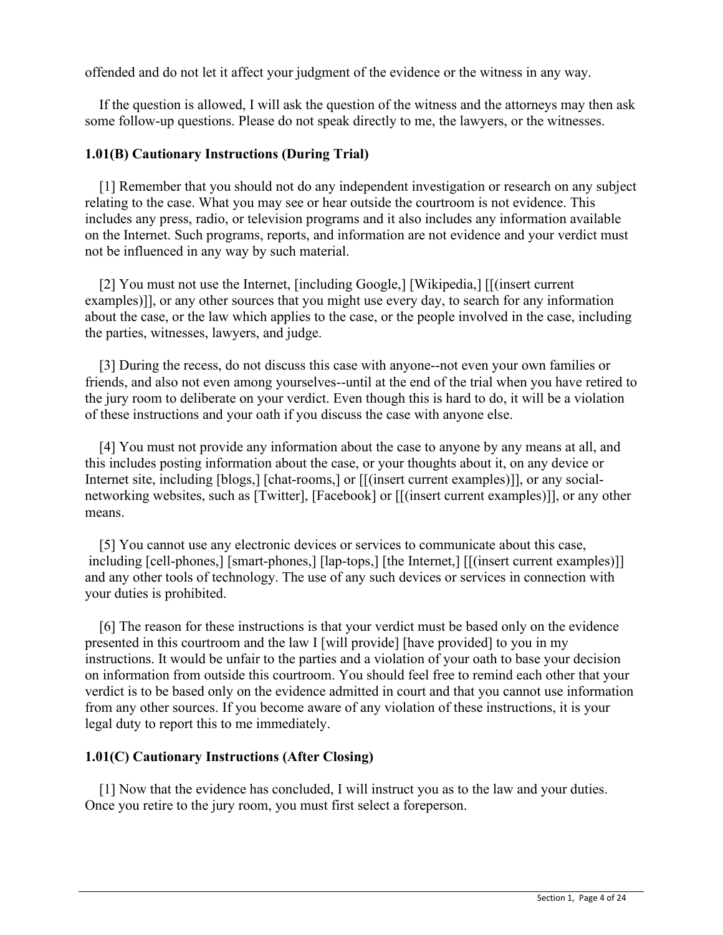offended and do not let it affect your judgment of the evidence or the witness in any way.

 If the question is allowed, I will ask the question of the witness and the attorneys may then ask some follow-up questions. Please do not speak directly to me, the lawyers, or the witnesses.

## **1.01(B) Cautionary Instructions (During Trial)**

 [1] Remember that you should not do any independent investigation or research on any subject relating to the case. What you may see or hear outside the courtroom is not evidence. This includes any press, radio, or television programs and it also includes any information available on the Internet. Such programs, reports, and information are not evidence and your verdict must not be influenced in any way by such material.

[2] You must not use the Internet, [including Google,] [Wikipedia,] [[(insert current examples)]], or any other sources that you might use every day, to search for any information about the case, or the law which applies to the case, or the people involved in the case, including the parties, witnesses, lawyers, and judge.

 [3] During the recess, do not discuss this case with anyone--not even your own families or friends, and also not even among yourselves--until at the end of the trial when you have retired to the jury room to deliberate on your verdict. Even though this is hard to do, it will be a violation of these instructions and your oath if you discuss the case with anyone else.

 [4] You must not provide any information about the case to anyone by any means at all, and this includes posting information about the case, or your thoughts about it, on any device or Internet site, including [blogs,] [chat-rooms,] or  $[[$ (insert current examples)]], or any socialnetworking websites, such as [Twitter], [Facebook] or [[(insert current examples)]], or any other means.

 [5] You cannot use any electronic devices or services to communicate about this case, including [cell-phones,] [smart-phones,] [lap-tops,] [the Internet,] [[(insert current examples)]] and any other tools of technology. The use of any such devices or services in connection with your duties is prohibited.

 [6] The reason for these instructions is that your verdict must be based only on the evidence presented in this courtroom and the law I [will provide] [have provided] to you in my instructions. It would be unfair to the parties and a violation of your oath to base your decision on information from outside this courtroom. You should feel free to remind each other that your verdict is to be based only on the evidence admitted in court and that you cannot use information from any other sources. If you become aware of any violation of these instructions, it is your legal duty to report this to me immediately.

## **1.01(C) Cautionary Instructions (After Closing)**

 [1] Now that the evidence has concluded, I will instruct you as to the law and your duties. Once you retire to the jury room, you must first select a foreperson.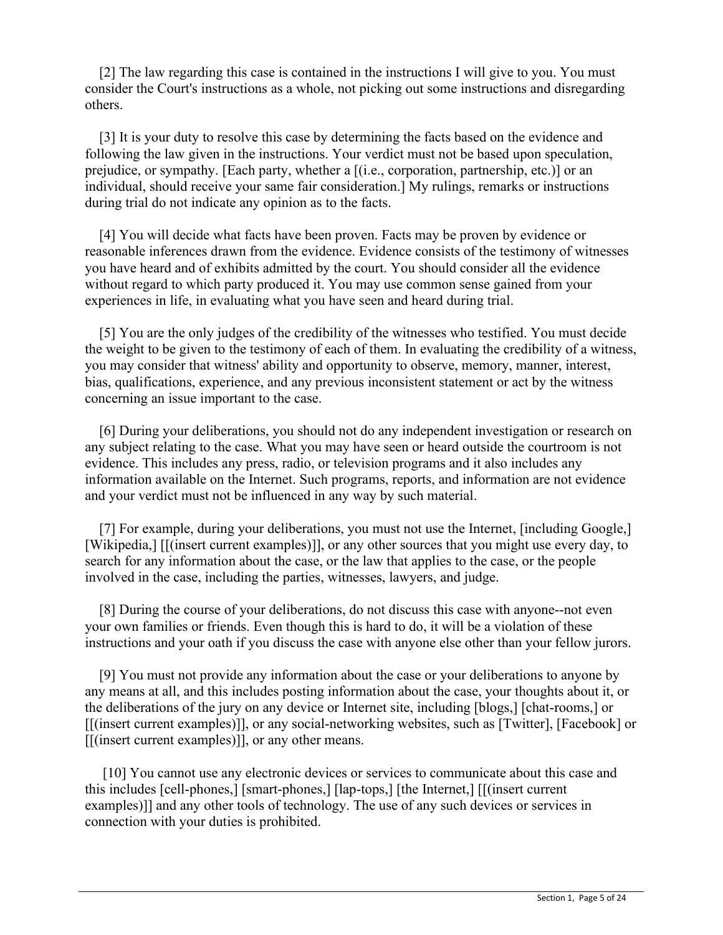[2] The law regarding this case is contained in the instructions I will give to you. You must consider the Court's instructions as a whole, not picking out some instructions and disregarding others.

 [3] It is your duty to resolve this case by determining the facts based on the evidence and following the law given in the instructions. Your verdict must not be based upon speculation, prejudice, or sympathy. [Each party, whether a [(i.e., corporation, partnership, etc.)] or an individual, should receive your same fair consideration.] My rulings, remarks or instructions during trial do not indicate any opinion as to the facts.

 [4] You will decide what facts have been proven. Facts may be proven by evidence or reasonable inferences drawn from the evidence. Evidence consists of the testimony of witnesses you have heard and of exhibits admitted by the court. You should consider all the evidence without regard to which party produced it. You may use common sense gained from your experiences in life, in evaluating what you have seen and heard during trial.

 [5] You are the only judges of the credibility of the witnesses who testified. You must decide the weight to be given to the testimony of each of them. In evaluating the credibility of a witness, you may consider that witness' ability and opportunity to observe, memory, manner, interest, bias, qualifications, experience, and any previous inconsistent statement or act by the witness concerning an issue important to the case.

 [6] During your deliberations, you should not do any independent investigation or research on any subject relating to the case. What you may have seen or heard outside the courtroom is not evidence. This includes any press, radio, or television programs and it also includes any information available on the Internet. Such programs, reports, and information are not evidence and your verdict must not be influenced in any way by such material.

 [7] For example, during your deliberations, you must not use the Internet, [including Google,] [Wikipedia,] [[(insert current examples)]], or any other sources that you might use every day, to search for any information about the case, or the law that applies to the case, or the people involved in the case, including the parties, witnesses, lawyers, and judge.

 [8] During the course of your deliberations, do not discuss this case with anyone--not even your own families or friends. Even though this is hard to do, it will be a violation of these instructions and your oath if you discuss the case with anyone else other than your fellow jurors.

 [9] You must not provide any information about the case or your deliberations to anyone by any means at all, and this includes posting information about the case, your thoughts about it, or the deliberations of the jury on any device or Internet site, including [blogs,] [chat-rooms,] or [[(insert current examples)]], or any social-networking websites, such as [Twitter], [Facebook] or [[(insert current examples)]], or any other means.

[10] You cannot use any electronic devices or services to communicate about this case and this includes [cell-phones,] [smart-phones,] [lap-tops,] [the Internet,] [[(insert current examples)]] and any other tools of technology. The use of any such devices or services in connection with your duties is prohibited.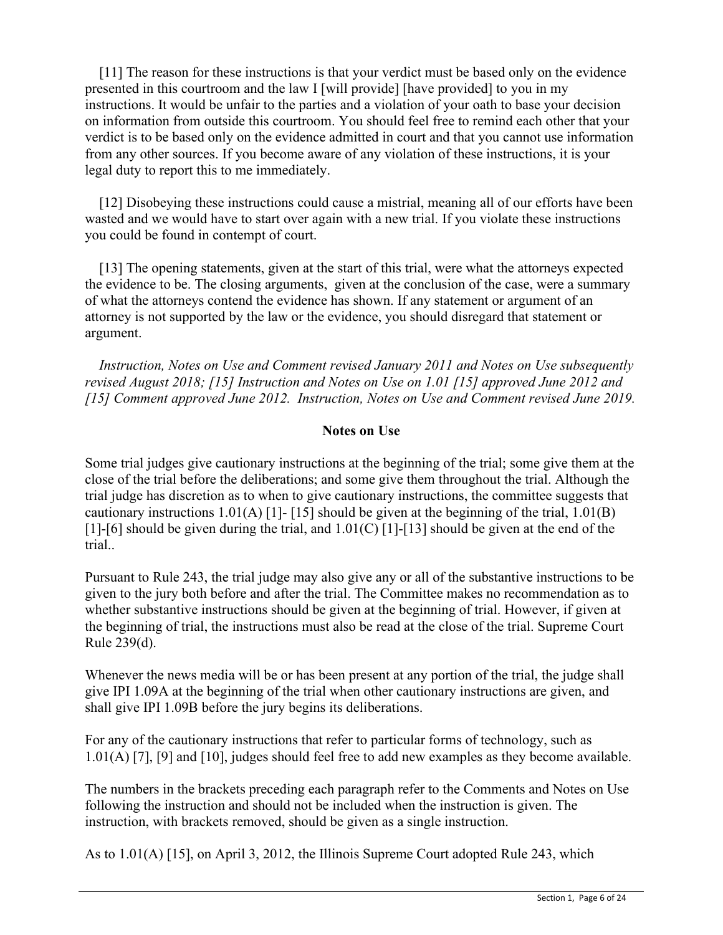[11] The reason for these instructions is that your verdict must be based only on the evidence presented in this courtroom and the law I [will provide] [have provided] to you in my instructions. It would be unfair to the parties and a violation of your oath to base your decision on information from outside this courtroom. You should feel free to remind each other that your verdict is to be based only on the evidence admitted in court and that you cannot use information from any other sources. If you become aware of any violation of these instructions, it is your legal duty to report this to me immediately.

 [12] Disobeying these instructions could cause a mistrial, meaning all of our efforts have been wasted and we would have to start over again with a new trial. If you violate these instructions you could be found in contempt of court.

 [13] The opening statements, given at the start of this trial, were what the attorneys expected the evidence to be. The closing arguments, given at the conclusion of the case, were a summary of what the attorneys contend the evidence has shown. If any statement or argument of an attorney is not supported by the law or the evidence, you should disregard that statement or argument.

 *Instruction, Notes on Use and Comment revised January 2011 and Notes on Use subsequently revised August 2018; [15] Instruction and Notes on Use on 1.01 [15] approved June 2012 and [15] Comment approved June 2012. Instruction, Notes on Use and Comment revised June 2019.*

## **Notes on Use**

Some trial judges give cautionary instructions at the beginning of the trial; some give them at the close of the trial before the deliberations; and some give them throughout the trial. Although the trial judge has discretion as to when to give cautionary instructions, the committee suggests that cautionary instructions 1.01(A) [1]- [15] should be given at the beginning of the trial, 1.01(B) [1]-[6] should be given during the trial, and  $1.01(C)$  [1]-[13] should be given at the end of the trial..

Pursuant to Rule 243, the trial judge may also give any or all of the substantive instructions to be given to the jury both before and after the trial. The Committee makes no recommendation as to whether substantive instructions should be given at the beginning of trial. However, if given at the beginning of trial, the instructions must also be read at the close of the trial. Supreme Court Rule 239(d).

Whenever the news media will be or has been present at any portion of the trial, the judge shall give IPI 1.09A at the beginning of the trial when other cautionary instructions are given, and shall give IPI 1.09B before the jury begins its deliberations.

For any of the cautionary instructions that refer to particular forms of technology, such as 1.01(A) [7], [9] and [10], judges should feel free to add new examples as they become available.

The numbers in the brackets preceding each paragraph refer to the Comments and Notes on Use following the instruction and should not be included when the instruction is given. The instruction, with brackets removed, should be given as a single instruction.

As to 1.01(A) [15], on April 3, 2012, the Illinois Supreme Court adopted Rule 243, which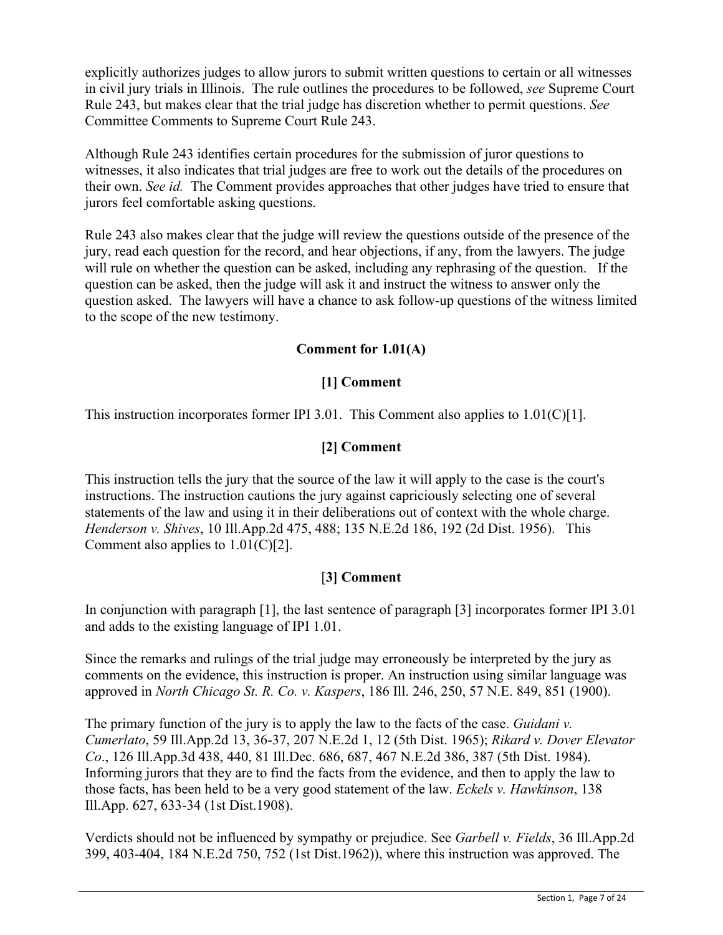explicitly authorizes judges to allow jurors to submit written questions to certain or all witnesses in civil jury trials in Illinois. The rule outlines the procedures to be followed, *see* Supreme Court Rule 243, but makes clear that the trial judge has discretion whether to permit questions. *See* Committee Comments to Supreme Court Rule 243.

Although Rule 243 identifies certain procedures for the submission of juror questions to witnesses, it also indicates that trial judges are free to work out the details of the procedures on their own. *See id.* The Comment provides approaches that other judges have tried to ensure that jurors feel comfortable asking questions.

Rule 243 also makes clear that the judge will review the questions outside of the presence of the jury, read each question for the record, and hear objections, if any, from the lawyers. The judge will rule on whether the question can be asked, including any rephrasing of the question. If the question can be asked, then the judge will ask it and instruct the witness to answer only the question asked. The lawyers will have a chance to ask follow-up questions of the witness limited to the scope of the new testimony.

# **Comment for 1.01(A)**

# **[1] Comment**

This instruction incorporates former IPI 3.01. This Comment also applies to  $1.01(C)[1]$ .

# **[2] Comment**

This instruction tells the jury that the source of the law it will apply to the case is the court's instructions. The instruction cautions the jury against capriciously selecting one of several statements of the law and using it in their deliberations out of context with the whole charge. *Henderson v. Shives*, 10 Ill.App.2d 475, 488; 135 N.E.2d 186, 192 (2d Dist. 1956). This Comment also applies to  $1.01(C)[2]$ .

# [**3] Comment**

In conjunction with paragraph [1], the last sentence of paragraph [3] incorporates former IPI 3.01 and adds to the existing language of IPI 1.01.

Since the remarks and rulings of the trial judge may erroneously be interpreted by the jury as comments on the evidence, this instruction is proper. An instruction using similar language was approved in *North Chicago St. R. Co. v. Kaspers*, 186 Ill. 246, 250, 57 N.E. 849, 851 (1900).

The primary function of the jury is to apply the law to the facts of the case. *Guidani v. Cumerlato*, 59 Ill.App.2d 13, 36-37, 207 N.E.2d 1, 12 (5th Dist. 1965); *Rikard v. Dover Elevator Co*., 126 Ill.App.3d 438, 440, 81 Ill.Dec. 686, 687, 467 N.E.2d 386, 387 (5th Dist. 1984). Informing jurors that they are to find the facts from the evidence, and then to apply the law to those facts, has been held to be a very good statement of the law. *Eckels v. Hawkinson*, 138 Ill.App. 627, 633-34 (1st Dist.1908).

Verdicts should not be influenced by sympathy or prejudice. See *Garbell v. Fields*, 36 Ill.App.2d 399, 403-404, 184 N.E.2d 750, 752 (1st Dist.1962)), where this instruction was approved. The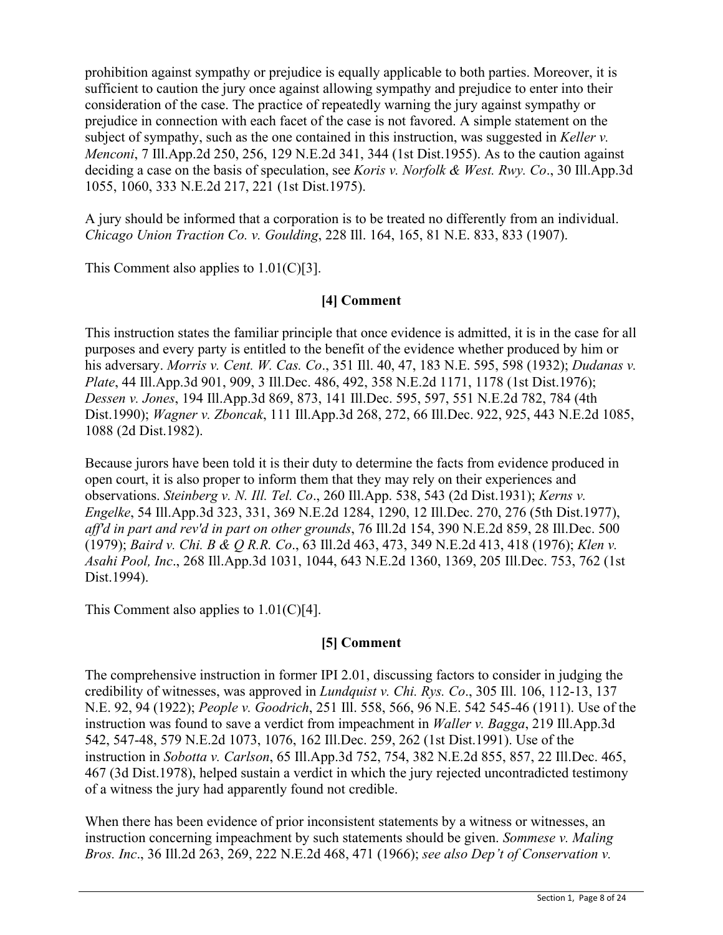prohibition against sympathy or prejudice is equally applicable to both parties. Moreover, it is sufficient to caution the jury once against allowing sympathy and prejudice to enter into their consideration of the case. The practice of repeatedly warning the jury against sympathy or prejudice in connection with each facet of the case is not favored. A simple statement on the subject of sympathy, such as the one contained in this instruction, was suggested in *Keller v. Menconi*, 7 Ill.App.2d 250, 256, 129 N.E.2d 341, 344 (1st Dist.1955). As to the caution against deciding a case on the basis of speculation, see *Koris v. Norfolk & West. Rwy. Co*., 30 Ill.App.3d 1055, 1060, 333 N.E.2d 217, 221 (1st Dist.1975).

A jury should be informed that a corporation is to be treated no differently from an individual. *Chicago Union Traction Co. v. Goulding*, 228 Ill. 164, 165, 81 N.E. 833, 833 (1907).

This Comment also applies to 1.01(C)[3].

# **[4] Comment**

This instruction states the familiar principle that once evidence is admitted, it is in the case for all purposes and every party is entitled to the benefit of the evidence whether produced by him or his adversary. *Morris v. Cent. W. Cas. Co*., 351 Ill. 40, 47, 183 N.E. 595, 598 (1932); *Dudanas v. Plate*, 44 Ill.App.3d 901, 909, 3 Ill.Dec. 486, 492, 358 N.E.2d 1171, 1178 (1st Dist.1976); *Dessen v. Jones*, 194 Ill.App.3d 869, 873, 141 Ill.Dec. 595, 597, 551 N.E.2d 782, 784 (4th Dist.1990); *Wagner v. Zboncak*, 111 Ill.App.3d 268, 272, 66 Ill.Dec. 922, 925, 443 N.E.2d 1085, 1088 (2d Dist.1982).

Because jurors have been told it is their duty to determine the facts from evidence produced in open court, it is also proper to inform them that they may rely on their experiences and observations. *Steinberg v. N. Ill. Tel. Co*., 260 Ill.App. 538, 543 (2d Dist.1931); *Kerns v. Engelke*, 54 Ill.App.3d 323, 331, 369 N.E.2d 1284, 1290, 12 Ill.Dec. 270, 276 (5th Dist.1977), *aff'd in part and rev'd in part on other grounds*, 76 Ill.2d 154, 390 N.E.2d 859, 28 Ill.Dec. 500 (1979); *Baird v. Chi. B & Q R.R. Co*., 63 Ill.2d 463, 473, 349 N.E.2d 413, 418 (1976); *Klen v. Asahi Pool, Inc*., 268 Ill.App.3d 1031, 1044, 643 N.E.2d 1360, 1369, 205 Ill.Dec. 753, 762 (1st Dist.1994).

This Comment also applies to  $1.01(C)[4]$ .

# **[5] Comment**

The comprehensive instruction in former IPI 2.01, discussing factors to consider in judging the credibility of witnesses, was approved in *Lundquist v. Chi. Rys. Co*., 305 Ill. 106, 112-13, 137 N.E. 92, 94 (1922); *People v. Goodrich*, 251 Ill. 558, 566, 96 N.E. 542 545-46 (1911). Use of the instruction was found to save a verdict from impeachment in *Waller v. Bagga*, 219 Ill.App.3d 542, 547-48, 579 N.E.2d 1073, 1076, 162 Ill.Dec. 259, 262 (1st Dist.1991). Use of the instruction in *Sobotta v. Carlson*, 65 Ill.App.3d 752, 754, 382 N.E.2d 855, 857, 22 Ill.Dec. 465, 467 (3d Dist.1978), helped sustain a verdict in which the jury rejected uncontradicted testimony of a witness the jury had apparently found not credible.

When there has been evidence of prior inconsistent statements by a witness or witnesses, an instruction concerning impeachment by such statements should be given. *Sommese v. Maling Bros. Inc*., 36 Ill.2d 263, 269, 222 N.E.2d 468, 471 (1966); *see also Dep't of Conservation v.*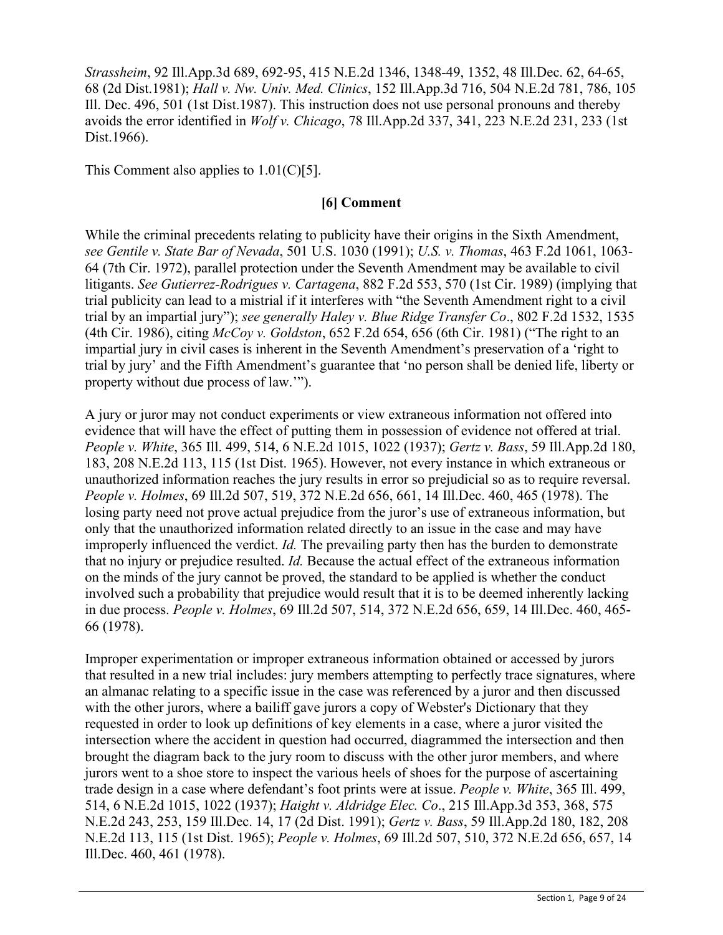*Strassheim*, 92 Ill.App.3d 689, 692-95, 415 N.E.2d 1346, 1348-49, 1352, 48 Ill.Dec. 62, 64-65, 68 (2d Dist.1981); *Hall v. Nw. Univ. Med. Clinics*, 152 Ill.App.3d 716, 504 N.E.2d 781, 786, 105 Ill. Dec. 496, 501 (1st Dist.1987). This instruction does not use personal pronouns and thereby avoids the error identified in *Wolf v. Chicago*, 78 Ill.App.2d 337, 341, 223 N.E.2d 231, 233 (1st Dist.1966).

This Comment also applies to 1.01(C)[5].

# **[6] Comment**

While the criminal precedents relating to publicity have their origins in the Sixth Amendment, *see Gentile v. State Bar of Nevada*, 501 U.S. 1030 (1991); *U.S. v. Thomas*, 463 F.2d 1061, 1063- 64 (7th Cir. 1972), parallel protection under the Seventh Amendment may be available to civil litigants. *See Gutierrez-Rodrigues v. Cartagena*, 882 F.2d 553, 570 (1st Cir. 1989) (implying that trial publicity can lead to a mistrial if it interferes with "the Seventh Amendment right to a civil trial by an impartial jury"); *see generally Haley v. Blue Ridge Transfer Co*., 802 F.2d 1532, 1535 (4th Cir. 1986), citing *McCoy v. Goldston*, 652 F.2d 654, 656 (6th Cir. 1981) ("The right to an impartial jury in civil cases is inherent in the Seventh Amendment's preservation of a 'right to trial by jury' and the Fifth Amendment's guarantee that 'no person shall be denied life, liberty or property without due process of law.'").

A jury or juror may not conduct experiments or view extraneous information not offered into evidence that will have the effect of putting them in possession of evidence not offered at trial. *People v. White*, 365 Ill. 499, 514, 6 N.E.2d 1015, 1022 (1937); *Gertz v. Bass*, 59 Ill.App.2d 180, 183, 208 N.E.2d 113, 115 (1st Dist. 1965). However, not every instance in which extraneous or unauthorized information reaches the jury results in error so prejudicial so as to require reversal. *People v. Holmes*, 69 Ill.2d 507, 519, 372 N.E.2d 656, 661, 14 Ill.Dec. 460, 465 (1978). The losing party need not prove actual prejudice from the juror's use of extraneous information, but only that the unauthorized information related directly to an issue in the case and may have improperly influenced the verdict. *Id.* The prevailing party then has the burden to demonstrate that no injury or prejudice resulted. *Id.* Because the actual effect of the extraneous information on the minds of the jury cannot be proved, the standard to be applied is whether the conduct involved such a probability that prejudice would result that it is to be deemed inherently lacking in due process. *People v. Holmes*, 69 Ill.2d 507, 514, 372 N.E.2d 656, 659, 14 Ill.Dec. 460, 465- 66 (1978).

Improper experimentation or improper extraneous information obtained or accessed by jurors that resulted in a new trial includes: jury members attempting to perfectly trace signatures, where an almanac relating to a specific issue in the case was referenced by a juror and then discussed with the other jurors, where a bailiff gave jurors a copy of Webster's Dictionary that they requested in order to look up definitions of key elements in a case, where a juror visited the intersection where the accident in question had occurred, diagrammed the intersection and then brought the diagram back to the jury room to discuss with the other juror members, and where jurors went to a shoe store to inspect the various heels of shoes for the purpose of ascertaining trade design in a case where defendant's foot prints were at issue. *People v. White*, 365 Ill. 499, 514, 6 N.E.2d 1015, 1022 (1937); *Haight v. Aldridge Elec. Co*., 215 Ill.App.3d 353, 368, 575 N.E.2d 243, 253, 159 Ill.Dec. 14, 17 (2d Dist. 1991); *Gertz v. Bass*, 59 Ill.App.2d 180, 182, 208 N.E.2d 113, 115 (1st Dist. 1965); *People v. Holmes*, 69 Ill.2d 507, 510, 372 N.E.2d 656, 657, 14 Ill.Dec. 460, 461 (1978).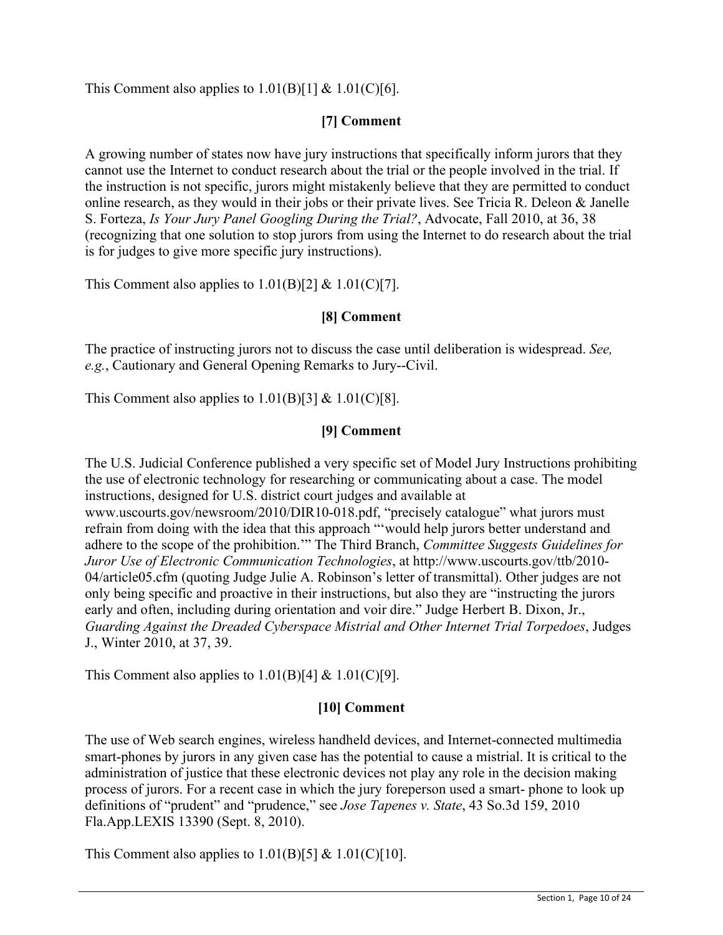This Comment also applies to  $1.01(B)[1] \& 1.01(C)[6]$ .

# **[7] Comment**

A growing number of states now have jury instructions that specifically inform jurors that they cannot use the Internet to conduct research about the trial or the people involved in the trial. If the instruction is not specific, jurors might mistakenly believe that they are permitted to conduct online research, as they would in their jobs or their private lives. See Tricia R. Deleon & Janelle S. Forteza, *Is Your Jury Panel Googling During the Trial?*, Advocate, Fall 2010, at 36, 38 (recognizing that one solution to stop jurors from using the Internet to do research about the trial is for judges to give more specific jury instructions).

This Comment also applies to  $1.01(B)[2] \& 1.01(C)[7]$ .

# **[8] Comment**

The practice of instructing jurors not to discuss the case until deliberation is widespread. *See, e.g.*, Cautionary and General Opening Remarks to Jury--Civil.

This Comment also applies to  $1.01(B)[3] \& 1.01(C)[8]$ .

# **[9] Comment**

The U.S. Judicial Conference published a very specific set of Model Jury Instructions prohibiting the use of electronic technology for researching or communicating about a case. The model instructions, designed for U.S. district court judges and available at www.uscourts.gov/newsroom/2010/DIR10-018.pdf, "precisely catalogue" what jurors must refrain from doing with the idea that this approach "'would help jurors better understand and adhere to the scope of the prohibition.'" The Third Branch, *Committee Suggests Guidelines for Juror Use of Electronic Communication Technologies*, at http://www.uscourts.gov/ttb/2010- 04/article05.cfm (quoting Judge Julie A. Robinson's letter of transmittal). Other judges are not only being specific and proactive in their instructions, but also they are "instructing the jurors early and often, including during orientation and voir dire." Judge Herbert B. Dixon, Jr., *Guarding Against the Dreaded Cyberspace Mistrial and Other Internet Trial Torpedoes*, Judges J., Winter 2010, at 37, 39.

This Comment also applies to  $1.01(B)[4] \& 1.01(C)[9]$ .

# **[10] Comment**

The use of Web search engines, wireless handheld devices, and Internet-connected multimedia smart-phones by jurors in any given case has the potential to cause a mistrial. It is critical to the administration of justice that these electronic devices not play any role in the decision making process of jurors. For a recent case in which the jury foreperson used a smart- phone to look up definitions of "prudent" and "prudence," see *Jose Tapenes v. State*, 43 So.3d 159, 2010 Fla.App.LEXIS 13390 (Sept. 8, 2010).

This Comment also applies to  $1.01(B)[5] \& 1.01(C)[10]$ .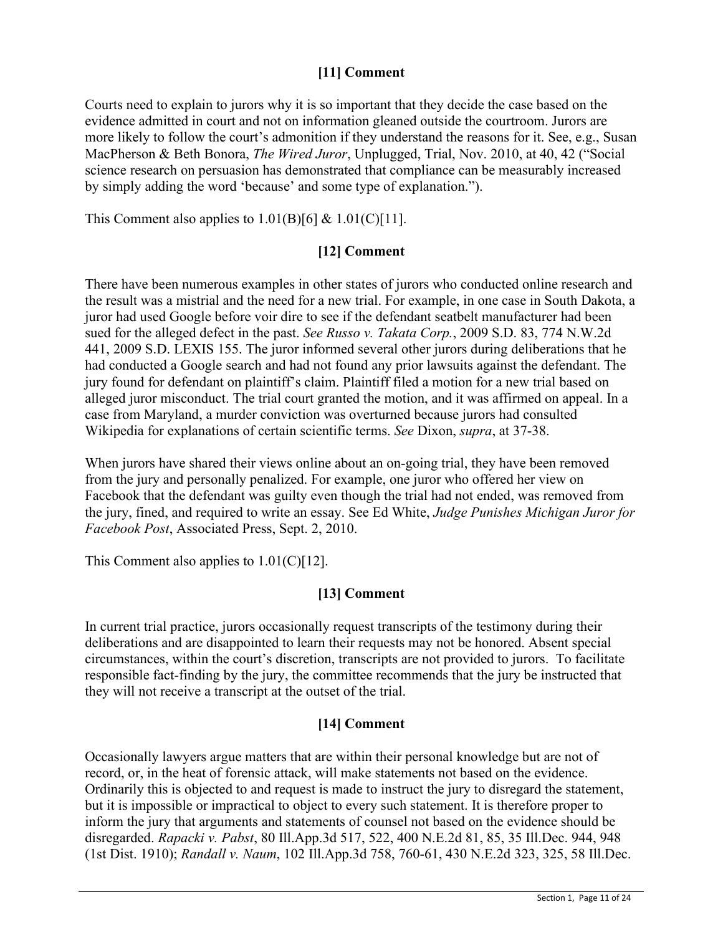# **[11] Comment**

Courts need to explain to jurors why it is so important that they decide the case based on the evidence admitted in court and not on information gleaned outside the courtroom. Jurors are more likely to follow the court's admonition if they understand the reasons for it. See, e.g., Susan MacPherson & Beth Bonora, *The Wired Juror*, Unplugged, Trial, Nov. 2010, at 40, 42 ("Social science research on persuasion has demonstrated that compliance can be measurably increased by simply adding the word 'because' and some type of explanation.").

This Comment also applies to  $1.01(B)[6] \& 1.01(C)[11]$ .

# **[12] Comment**

There have been numerous examples in other states of jurors who conducted online research and the result was a mistrial and the need for a new trial. For example, in one case in South Dakota, a juror had used Google before voir dire to see if the defendant seatbelt manufacturer had been sued for the alleged defect in the past. *See Russo v. Takata Corp.*, 2009 S.D. 83, 774 N.W.2d 441, 2009 S.D. LEXIS 155. The juror informed several other jurors during deliberations that he had conducted a Google search and had not found any prior lawsuits against the defendant. The jury found for defendant on plaintiff's claim. Plaintiff filed a motion for a new trial based on alleged juror misconduct. The trial court granted the motion, and it was affirmed on appeal. In a case from Maryland, a murder conviction was overturned because jurors had consulted Wikipedia for explanations of certain scientific terms. *See* Dixon, *supra*, at 37-38.

When jurors have shared their views online about an on-going trial, they have been removed from the jury and personally penalized. For example, one juror who offered her view on Facebook that the defendant was guilty even though the trial had not ended, was removed from the jury, fined, and required to write an essay. See Ed White, *Judge Punishes Michigan Juror for Facebook Post*, Associated Press, Sept. 2, 2010.

This Comment also applies to 1.01(C)[12].

# **[13] Comment**

In current trial practice, jurors occasionally request transcripts of the testimony during their deliberations and are disappointed to learn their requests may not be honored. Absent special circumstances, within the court's discretion, transcripts are not provided to jurors. To facilitate responsible fact-finding by the jury, the committee recommends that the jury be instructed that they will not receive a transcript at the outset of the trial.

# **[14] Comment**

Occasionally lawyers argue matters that are within their personal knowledge but are not of record, or, in the heat of forensic attack, will make statements not based on the evidence. Ordinarily this is objected to and request is made to instruct the jury to disregard the statement, but it is impossible or impractical to object to every such statement. It is therefore proper to inform the jury that arguments and statements of counsel not based on the evidence should be disregarded. *Rapacki v. Pabst*, 80 Ill.App.3d 517, 522, 400 N.E.2d 81, 85, 35 Ill.Dec. 944, 948 (1st Dist. 1910); *Randall v. Naum*, 102 Ill.App.3d 758, 760-61, 430 N.E.2d 323, 325, 58 Ill.Dec.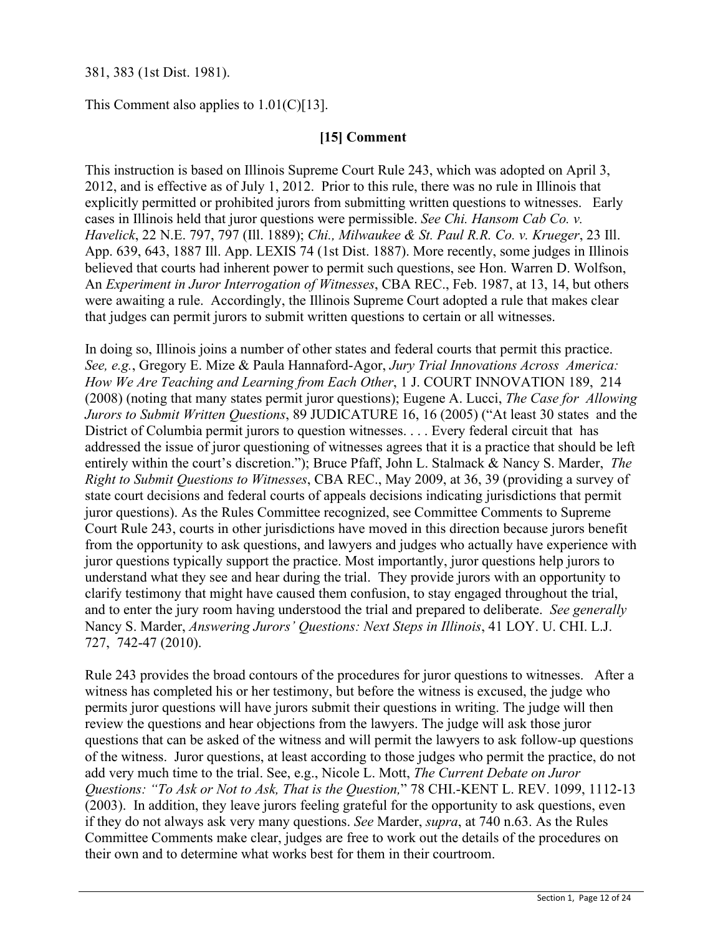# 381, 383 (1st Dist. 1981).

This Comment also applies to 1.01(C)[13].

# **[15] Comment**

This instruction is based on Illinois Supreme Court Rule 243, which was adopted on April 3, 2012, and is effective as of July 1, 2012. Prior to this rule, there was no rule in Illinois that explicitly permitted or prohibited jurors from submitting written questions to witnesses. Early cases in Illinois held that juror questions were permissible. *See Chi. Hansom Cab Co. v. Havelick*, 22 N.E. 797, 797 (Ill. 1889); *Chi., Milwaukee & St. Paul R.R. Co. v. Krueger*, 23 Ill. App. 639, 643, 1887 Ill. App. LEXIS 74 (1st Dist. 1887). More recently, some judges in Illinois believed that courts had inherent power to permit such questions, see Hon. Warren D. Wolfson, An *Experiment in Juror Interrogation of Witnesses*, CBA REC., Feb. 1987, at 13, 14, but others were awaiting a rule. Accordingly, the Illinois Supreme Court adopted a rule that makes clear that judges can permit jurors to submit written questions to certain or all witnesses.

In doing so, Illinois joins a number of other states and federal courts that permit this practice. *See, e.g.*, Gregory E. Mize & Paula Hannaford-Agor, *Jury Trial Innovations Across America: How We Are Teaching and Learning from Each Other*, 1 J. COURT INNOVATION 189, 214 (2008) (noting that many states permit juror questions); Eugene A. Lucci, *The Case for Allowing Jurors to Submit Written Questions*, 89 JUDICATURE 16, 16 (2005) ("At least 30 states and the District of Columbia permit jurors to question witnesses. . . . Every federal circuit that has addressed the issue of juror questioning of witnesses agrees that it is a practice that should be left entirely within the court's discretion."); Bruce Pfaff, John L. Stalmack & Nancy S. Marder, *The Right to Submit Questions to Witnesses*, CBA REC., May 2009, at 36, 39 (providing a survey of state court decisions and federal courts of appeals decisions indicating jurisdictions that permit juror questions). As the Rules Committee recognized, see Committee Comments to Supreme Court Rule 243, courts in other jurisdictions have moved in this direction because jurors benefit from the opportunity to ask questions, and lawyers and judges who actually have experience with juror questions typically support the practice. Most importantly, juror questions help jurors to understand what they see and hear during the trial. They provide jurors with an opportunity to clarify testimony that might have caused them confusion, to stay engaged throughout the trial, and to enter the jury room having understood the trial and prepared to deliberate. *See generally* Nancy S. Marder, *Answering Jurors' Questions: Next Steps in Illinois*, 41 LOY. U. CHI. L.J. 727, 742-47 (2010).

Rule 243 provides the broad contours of the procedures for juror questions to witnesses. After a witness has completed his or her testimony, but before the witness is excused, the judge who permits juror questions will have jurors submit their questions in writing. The judge will then review the questions and hear objections from the lawyers. The judge will ask those juror questions that can be asked of the witness and will permit the lawyers to ask follow-up questions of the witness. Juror questions, at least according to those judges who permit the practice, do not add very much time to the trial. See, e.g., Nicole L. Mott, *The Current Debate on Juror Questions: "To Ask or Not to Ask, That is the Question,*" 78 CHI.-KENT L. REV. 1099, 1112-13 (2003). In addition, they leave jurors feeling grateful for the opportunity to ask questions, even if they do not always ask very many questions. *See* Marder, *supra*, at 740 n.63. As the Rules Committee Comments make clear, judges are free to work out the details of the procedures on their own and to determine what works best for them in their courtroom.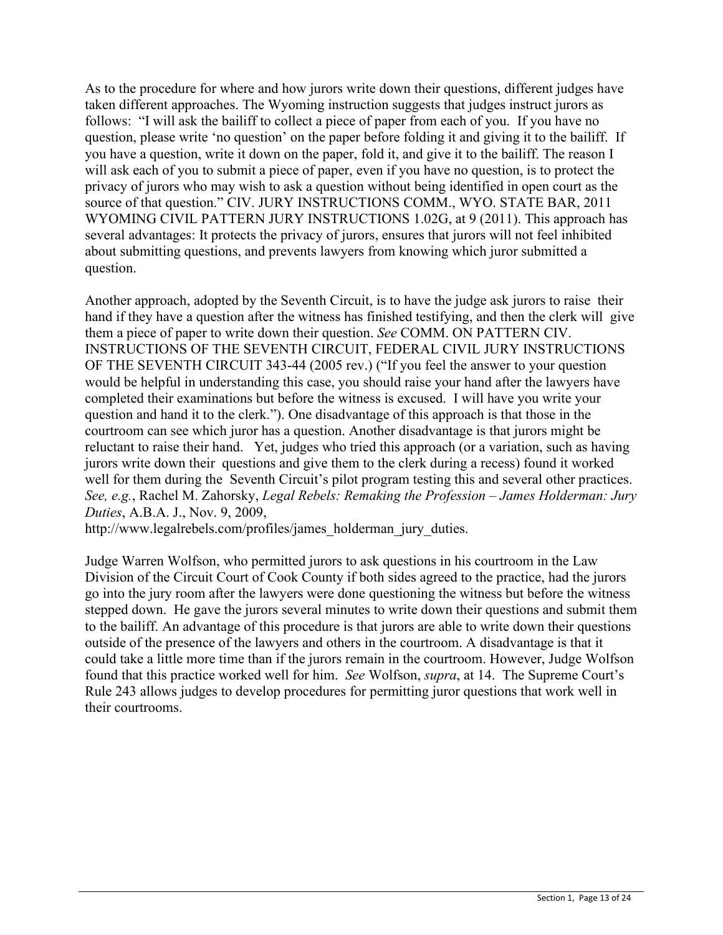As to the procedure for where and how jurors write down their questions, different judges have taken different approaches. The Wyoming instruction suggests that judges instruct jurors as follows: "I will ask the bailiff to collect a piece of paper from each of you. If you have no question, please write 'no question' on the paper before folding it and giving it to the bailiff. If you have a question, write it down on the paper, fold it, and give it to the bailiff. The reason I will ask each of you to submit a piece of paper, even if you have no question, is to protect the privacy of jurors who may wish to ask a question without being identified in open court as the source of that question." CIV. JURY INSTRUCTIONS COMM., WYO. STATE BAR, 2011 WYOMING CIVIL PATTERN JURY INSTRUCTIONS 1.02G, at 9 (2011). This approach has several advantages: It protects the privacy of jurors, ensures that jurors will not feel inhibited about submitting questions, and prevents lawyers from knowing which juror submitted a question.

Another approach, adopted by the Seventh Circuit, is to have the judge ask jurors to raise their hand if they have a question after the witness has finished testifying, and then the clerk will give them a piece of paper to write down their question. *See* COMM. ON PATTERN CIV. INSTRUCTIONS OF THE SEVENTH CIRCUIT, FEDERAL CIVIL JURY INSTRUCTIONS OF THE SEVENTH CIRCUIT 343-44 (2005 rev.) ("If you feel the answer to your question would be helpful in understanding this case, you should raise your hand after the lawyers have completed their examinations but before the witness is excused. I will have you write your question and hand it to the clerk."). One disadvantage of this approach is that those in the courtroom can see which juror has a question. Another disadvantage is that jurors might be reluctant to raise their hand. Yet, judges who tried this approach (or a variation, such as having jurors write down their questions and give them to the clerk during a recess) found it worked well for them during the Seventh Circuit's pilot program testing this and several other practices. *See, e.g.*, Rachel M. Zahorsky, *Legal Rebels: Remaking the Profession – James Holderman: Jury Duties*, A.B.A. J., Nov. 9, 2009,

http://www.legalrebels.com/profiles/james\_holderman\_jury\_duties.

Judge Warren Wolfson, who permitted jurors to ask questions in his courtroom in the Law Division of the Circuit Court of Cook County if both sides agreed to the practice, had the jurors go into the jury room after the lawyers were done questioning the witness but before the witness stepped down. He gave the jurors several minutes to write down their questions and submit them to the bailiff. An advantage of this procedure is that jurors are able to write down their questions outside of the presence of the lawyers and others in the courtroom. A disadvantage is that it could take a little more time than if the jurors remain in the courtroom. However, Judge Wolfson found that this practice worked well for him. *See* Wolfson, *supra*, at 14. The Supreme Court's Rule 243 allows judges to develop procedures for permitting juror questions that work well in their courtrooms.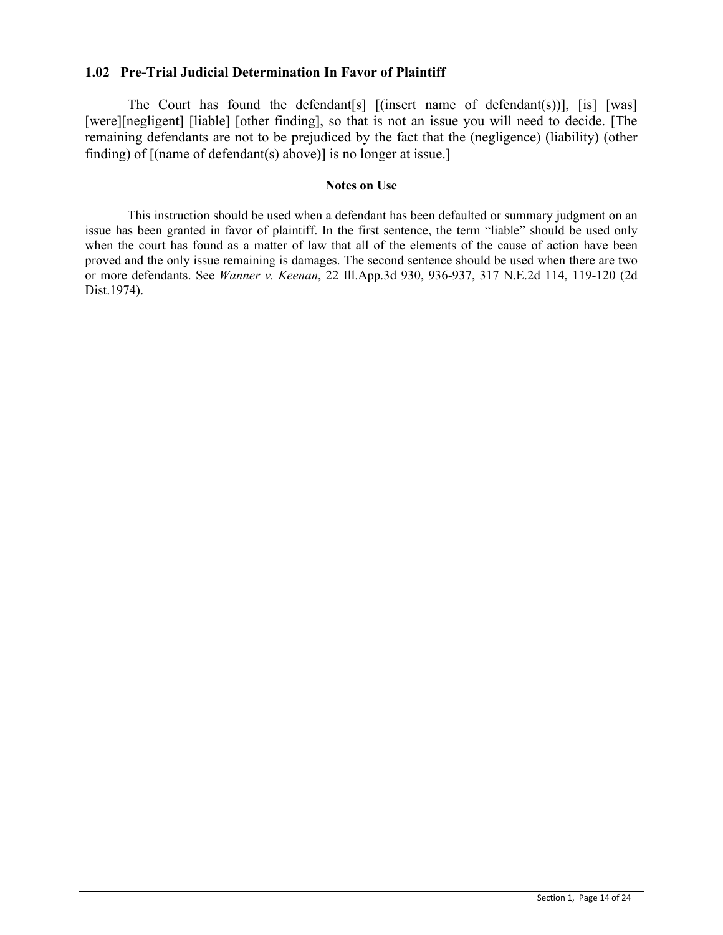## **1.02 Pre-Trial Judicial Determination In Favor of Plaintiff**

The Court has found the defendant[s] [(insert name of defendant(s))], [is] [was] [were][negligent] [liable] [other finding], so that is not an issue you will need to decide. [The remaining defendants are not to be prejudiced by the fact that the (negligence) (liability) (other finding) of [(name of defendant(s) above)] is no longer at issue.]

### **Notes on Use**

This instruction should be used when a defendant has been defaulted or summary judgment on an issue has been granted in favor of plaintiff. In the first sentence, the term "liable" should be used only when the court has found as a matter of law that all of the elements of the cause of action have been proved and the only issue remaining is damages. The second sentence should be used when there are two or more defendants. See *Wanner v. Keenan*, 22 Ill.App.3d 930, 936-937, 317 N.E.2d 114, 119-120 (2d Dist.1974).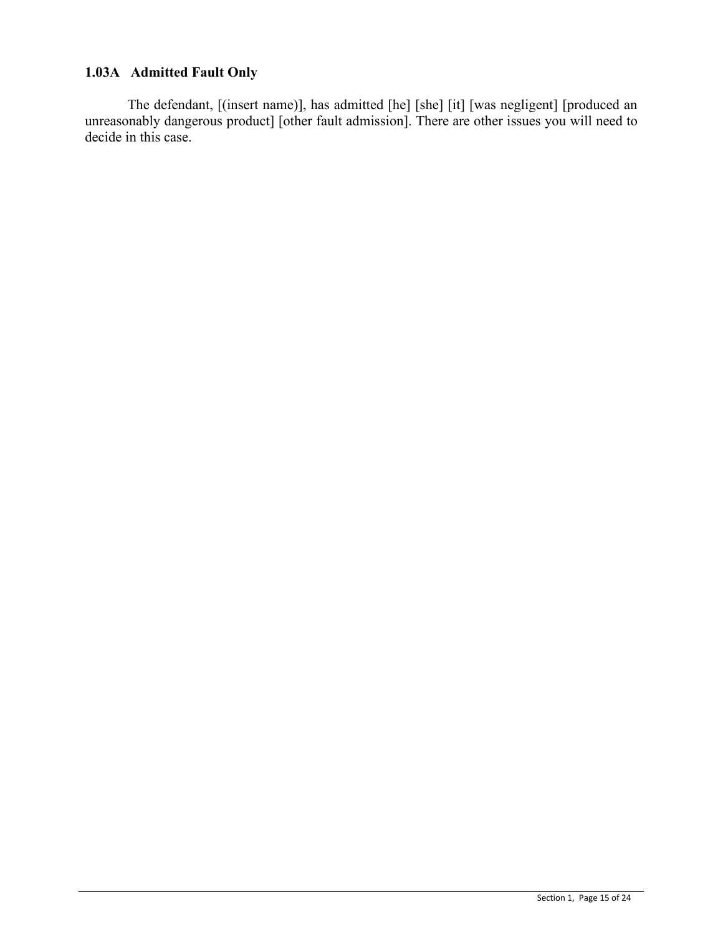# **1.03A Admitted Fault Only**

The defendant, [(insert name)], has admitted [he] [she] [it] [was negligent] [produced an unreasonably dangerous product] [other fault admission]. There are other issues you will need to decide in this case.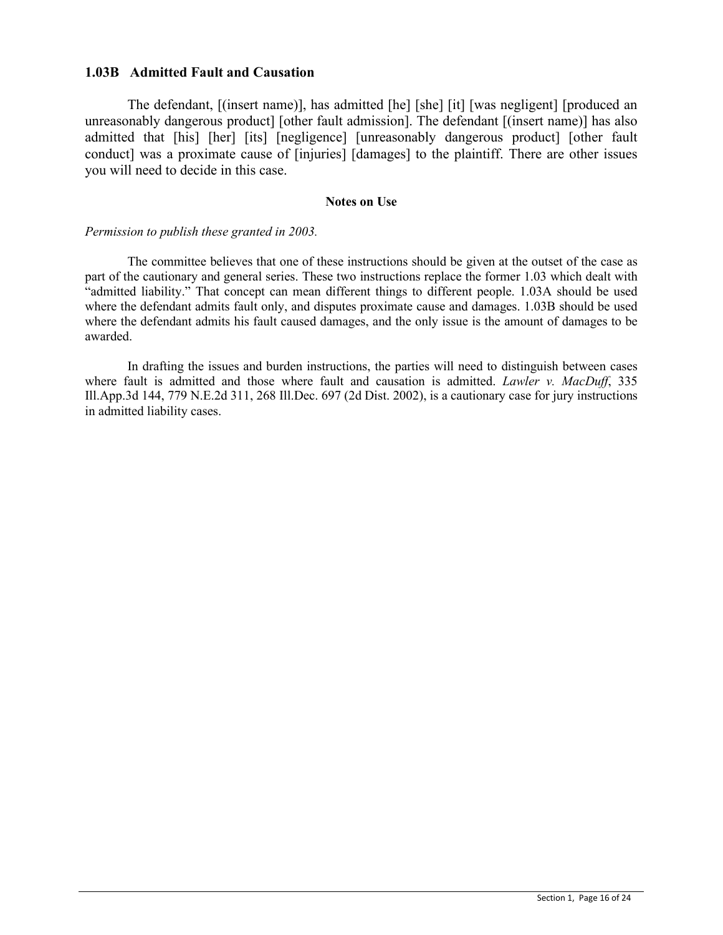### **1.03B Admitted Fault and Causation**

The defendant, [(insert name)], has admitted [he] [she] [it] [was negligent] [produced an unreasonably dangerous product] [other fault admission]. The defendant [(insert name)] has also admitted that [his] [her] [its] [negligence] [unreasonably dangerous product] [other fault conduct] was a proximate cause of [injuries] [damages] to the plaintiff. There are other issues you will need to decide in this case.

#### **Notes on Use**

#### *Permission to publish these granted in 2003.*

The committee believes that one of these instructions should be given at the outset of the case as part of the cautionary and general series. These two instructions replace the former 1.03 which dealt with "admitted liability." That concept can mean different things to different people. 1.03A should be used where the defendant admits fault only, and disputes proximate cause and damages. 1.03B should be used where the defendant admits his fault caused damages, and the only issue is the amount of damages to be awarded.

In drafting the issues and burden instructions, the parties will need to distinguish between cases where fault is admitted and those where fault and causation is admitted. *Lawler v. MacDuff*, 335 Ill.App.3d 144, 779 N.E.2d 311, 268 Ill.Dec. 697 (2d Dist. 2002), is a cautionary case for jury instructions in admitted liability cases.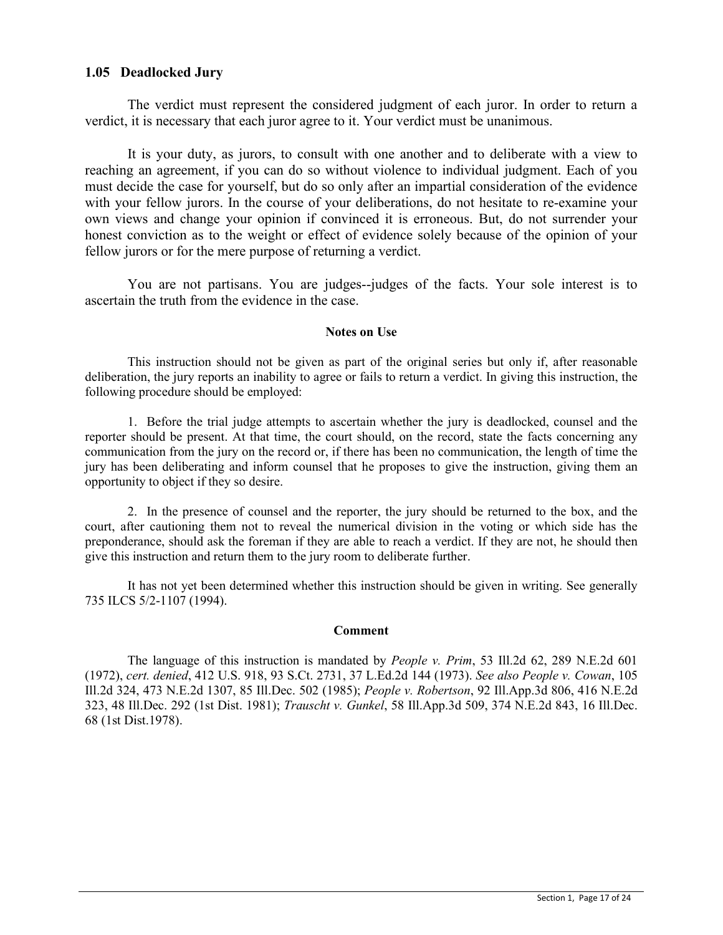## **1.05 Deadlocked Jury**

The verdict must represent the considered judgment of each juror. In order to return a verdict, it is necessary that each juror agree to it. Your verdict must be unanimous.

It is your duty, as jurors, to consult with one another and to deliberate with a view to reaching an agreement, if you can do so without violence to individual judgment. Each of you must decide the case for yourself, but do so only after an impartial consideration of the evidence with your fellow jurors. In the course of your deliberations, do not hesitate to re-examine your own views and change your opinion if convinced it is erroneous. But, do not surrender your honest conviction as to the weight or effect of evidence solely because of the opinion of your fellow jurors or for the mere purpose of returning a verdict.

You are not partisans. You are judges--judges of the facts. Your sole interest is to ascertain the truth from the evidence in the case.

#### **Notes on Use**

This instruction should not be given as part of the original series but only if, after reasonable deliberation, the jury reports an inability to agree or fails to return a verdict. In giving this instruction, the following procedure should be employed:

1. Before the trial judge attempts to ascertain whether the jury is deadlocked, counsel and the reporter should be present. At that time, the court should, on the record, state the facts concerning any communication from the jury on the record or, if there has been no communication, the length of time the jury has been deliberating and inform counsel that he proposes to give the instruction, giving them an opportunity to object if they so desire.

2. In the presence of counsel and the reporter, the jury should be returned to the box, and the court, after cautioning them not to reveal the numerical division in the voting or which side has the preponderance, should ask the foreman if they are able to reach a verdict. If they are not, he should then give this instruction and return them to the jury room to deliberate further.

It has not yet been determined whether this instruction should be given in writing. See generally 735 ILCS 5/2-1107 (1994).

### **Comment**

The language of this instruction is mandated by *People v. Prim*, 53 Ill.2d 62, 289 N.E.2d 601 (1972), *cert. denied*, 412 U.S. 918, 93 S.Ct. 2731, 37 L.Ed.2d 144 (1973). *See also People v. Cowan*, 105 Ill.2d 324, 473 N.E.2d 1307, 85 Ill.Dec. 502 (1985); *People v. Robertson*, 92 Ill.App.3d 806, 416 N.E.2d 323, 48 Ill.Dec. 292 (1st Dist. 1981); *Trauscht v. Gunkel*, 58 Ill.App.3d 509, 374 N.E.2d 843, 16 Ill.Dec. 68 (1st Dist.1978).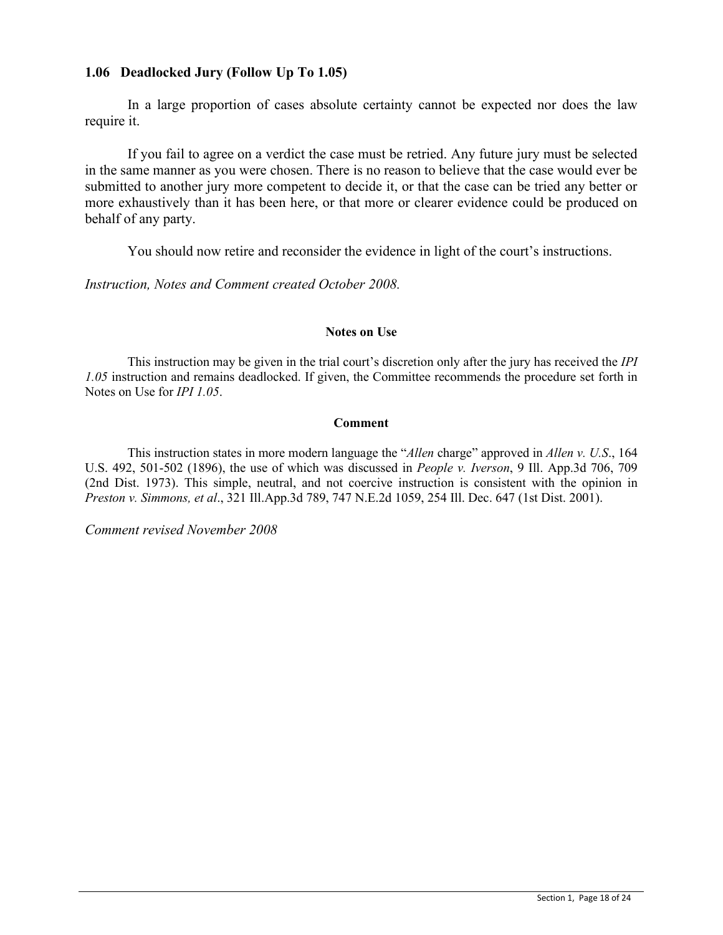## **1.06 Deadlocked Jury (Follow Up To 1.05)**

In a large proportion of cases absolute certainty cannot be expected nor does the law require it.

If you fail to agree on a verdict the case must be retried. Any future jury must be selected in the same manner as you were chosen. There is no reason to believe that the case would ever be submitted to another jury more competent to decide it, or that the case can be tried any better or more exhaustively than it has been here, or that more or clearer evidence could be produced on behalf of any party.

You should now retire and reconsider the evidence in light of the court's instructions.

*Instruction, Notes and Comment created October 2008.*

### **Notes on Use**

This instruction may be given in the trial court's discretion only after the jury has received the *IPI 1.05* instruction and remains deadlocked. If given, the Committee recommends the procedure set forth in Notes on Use for *IPI 1.05*.

### **Comment**

This instruction states in more modern language the "*Allen* charge" approved in *Allen v. U.S*., 164 U.S. 492, 501-502 (1896), the use of which was discussed in *People v. Iverson*, 9 Ill. App.3d 706, 709 (2nd Dist. 1973). This simple, neutral, and not coercive instruction is consistent with the opinion in *Preston v. Simmons, et al*., 321 Ill.App.3d 789, 747 N.E.2d 1059, 254 Ill. Dec. 647 (1st Dist. 2001).

*Comment revised November 2008*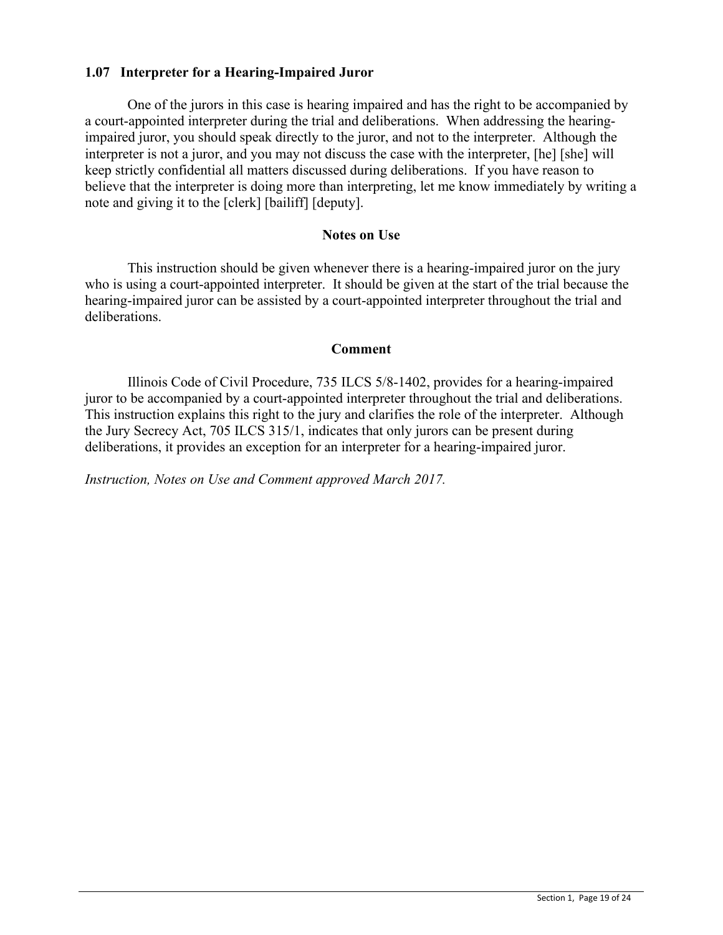# **1.07 Interpreter for a Hearing-Impaired Juror**

One of the jurors in this case is hearing impaired and has the right to be accompanied by a court-appointed interpreter during the trial and deliberations. When addressing the hearingimpaired juror, you should speak directly to the juror, and not to the interpreter. Although the interpreter is not a juror, and you may not discuss the case with the interpreter, [he] [she] will keep strictly confidential all matters discussed during deliberations. If you have reason to believe that the interpreter is doing more than interpreting, let me know immediately by writing a note and giving it to the [clerk] [bailiff] [deputy].

## **Notes on Use**

This instruction should be given whenever there is a hearing-impaired juror on the jury who is using a court-appointed interpreter. It should be given at the start of the trial because the hearing-impaired juror can be assisted by a court-appointed interpreter throughout the trial and deliberations.

### **Comment**

Illinois Code of Civil Procedure, 735 ILCS 5/8-1402, provides for a hearing-impaired juror to be accompanied by a court-appointed interpreter throughout the trial and deliberations. This instruction explains this right to the jury and clarifies the role of the interpreter. Although the Jury Secrecy Act, 705 ILCS 315/1, indicates that only jurors can be present during deliberations, it provides an exception for an interpreter for a hearing-impaired juror.

*Instruction, Notes on Use and Comment approved March 2017.*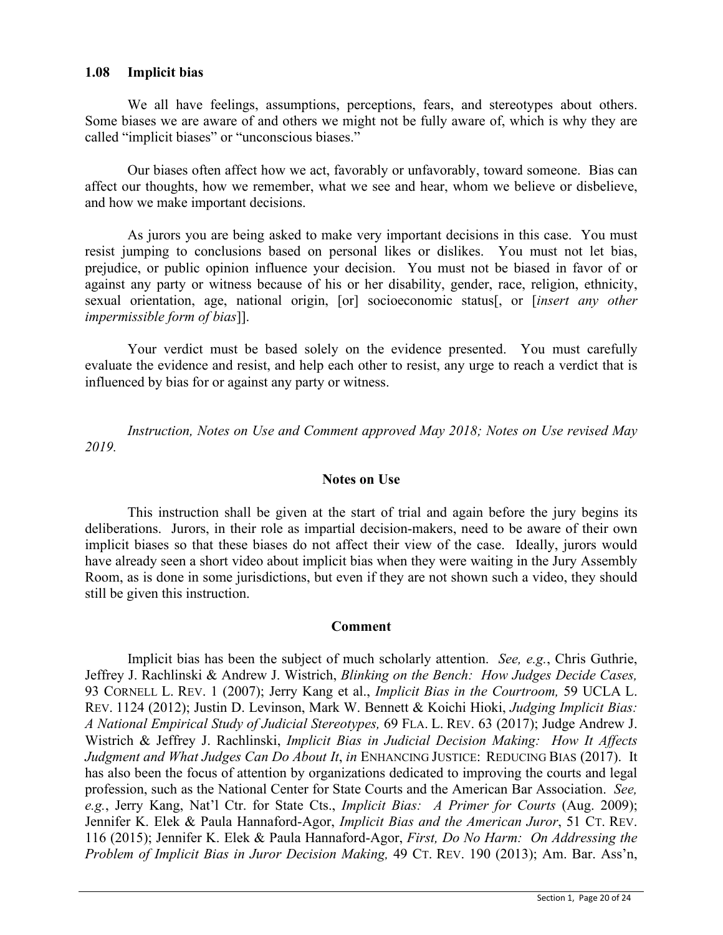## **1.08 Implicit bias**

We all have feelings, assumptions, perceptions, fears, and stereotypes about others. Some biases we are aware of and others we might not be fully aware of, which is why they are called "implicit biases" or "unconscious biases."

Our biases often affect how we act, favorably or unfavorably, toward someone. Bias can affect our thoughts, how we remember, what we see and hear, whom we believe or disbelieve, and how we make important decisions.

As jurors you are being asked to make very important decisions in this case. You must resist jumping to conclusions based on personal likes or dislikes. You must not let bias, prejudice, or public opinion influence your decision. You must not be biased in favor of or against any party or witness because of his or her disability, gender, race, religion, ethnicity, sexual orientation, age, national origin, [or] socioeconomic status[, or [*insert any other impermissible form of bias*]].

Your verdict must be based solely on the evidence presented. You must carefully evaluate the evidence and resist, and help each other to resist, any urge to reach a verdict that is influenced by bias for or against any party or witness.

*Instruction, Notes on Use and Comment approved May 2018; Notes on Use revised May 2019.*

## **Notes on Use**

This instruction shall be given at the start of trial and again before the jury begins its deliberations. Jurors, in their role as impartial decision-makers, need to be aware of their own implicit biases so that these biases do not affect their view of the case. Ideally, jurors would have already seen a short video about implicit bias when they were waiting in the Jury Assembly Room, as is done in some jurisdictions, but even if they are not shown such a video, they should still be given this instruction.

### **Comment**

Implicit bias has been the subject of much scholarly attention. *See, e.g.*, Chris Guthrie, Jeffrey J. Rachlinski & Andrew J. Wistrich, *Blinking on the Bench: How Judges Decide Cases,* 93 CORNELL L. REV. 1 (2007); Jerry Kang et al., *Implicit Bias in the Courtroom,* 59 UCLA L. REV. 1124 (2012); Justin D. Levinson, Mark W. Bennett & Koichi Hioki, *Judging Implicit Bias: A National Empirical Study of Judicial Stereotypes,* 69 FLA. L. REV. 63 (2017); Judge Andrew J. Wistrich & Jeffrey J. Rachlinski, *Implicit Bias in Judicial Decision Making: How It Affects Judgment and What Judges Can Do About It, in ENHANCING JUSTICE: REDUCING BIAS (2017).* It has also been the focus of attention by organizations dedicated to improving the courts and legal profession, such as the National Center for State Courts and the American Bar Association. *See, e.g.*, Jerry Kang, Nat'l Ctr. for State Cts., *Implicit Bias: A Primer for Courts* (Aug. 2009); Jennifer K. Elek & Paula Hannaford-Agor, *Implicit Bias and the American Juror*, 51 CT. REV. 116 (2015); Jennifer K. Elek & Paula Hannaford-Agor, *First, Do No Harm: On Addressing the Problem of Implicit Bias in Juror Decision Making,* 49 CT. REV. 190 (2013); Am. Bar. Ass'n,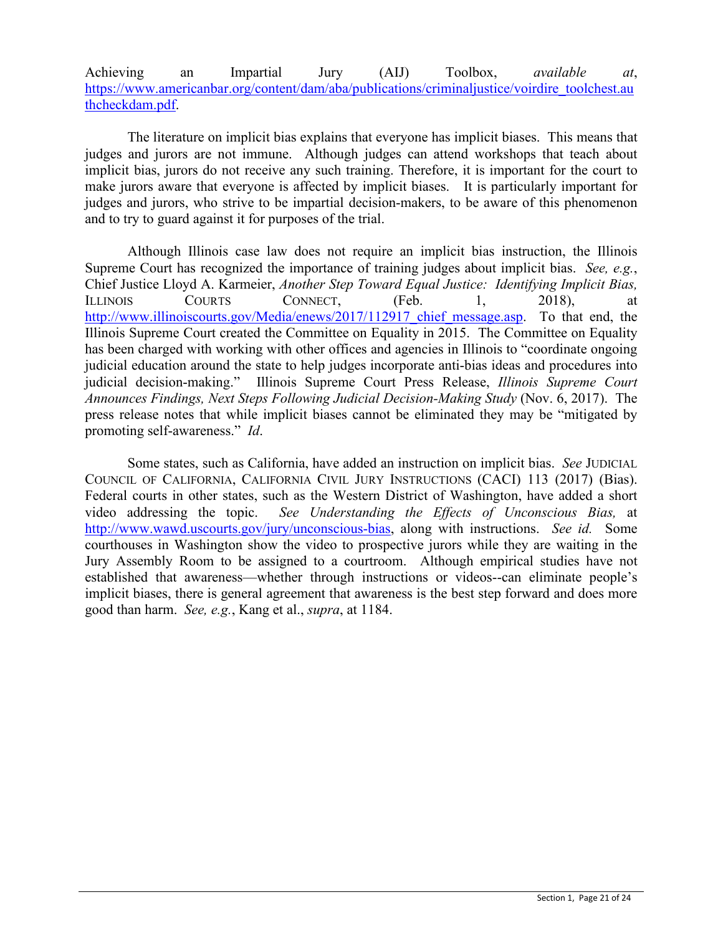## Achieving an Impartial Jury (AIJ) Toolbox, *available at*, [https://www.americanbar.org/content/dam/aba/publications/criminaljustice/voirdire\\_toolchest.au](https://www.americanbar.org/content/dam/aba/publications/criminaljustice/voirdire_toolchest.authcheckdam.pdf) [thcheckdam.pdf.](https://www.americanbar.org/content/dam/aba/publications/criminaljustice/voirdire_toolchest.authcheckdam.pdf)

The literature on implicit bias explains that everyone has implicit biases. This means that judges and jurors are not immune. Although judges can attend workshops that teach about implicit bias, jurors do not receive any such training. Therefore, it is important for the court to make jurors aware that everyone is affected by implicit biases. It is particularly important for judges and jurors, who strive to be impartial decision-makers, to be aware of this phenomenon and to try to guard against it for purposes of the trial.

Although Illinois case law does not require an implicit bias instruction, the Illinois Supreme Court has recognized the importance of training judges about implicit bias. *See, e.g.*, Chief Justice Lloyd A. Karmeier, *Another Step Toward Equal Justice: Identifying Implicit Bias,*  ILLINOIS COURTS CONNECT, (Feb. 1, 2018), at http://www.illinoiscourts.gov/Media/enews/2017/112917 chief message.asp. To that end, the Illinois Supreme Court created the Committee on Equality in 2015. The Committee on Equality has been charged with working with other offices and agencies in Illinois to "coordinate ongoing judicial education around the state to help judges incorporate anti-bias ideas and procedures into judicial decision-making." Illinois Supreme Court Press Release, *Illinois Supreme Court Announces Findings, Next Steps Following Judicial Decision-Making Study* (Nov. 6, 2017). The press release notes that while implicit biases cannot be eliminated they may be "mitigated by promoting self-awareness." *Id*.

Some states, such as California, have added an instruction on implicit bias. *See* JUDICIAL COUNCIL OF CALIFORNIA, CALIFORNIA CIVIL JURY INSTRUCTIONS (CACI) 113 (2017) (Bias). Federal courts in other states, such as the Western District of Washington, have added a short video addressing the topic. *See Understanding the Effects of Unconscious Bias,* at [http://www.wawd.uscourts.gov/jury/unconscious-bias,](http://www.wawd.uscourts.gov/jury/unconscious-bias) along with instructions. *See id.* Some courthouses in Washington show the video to prospective jurors while they are waiting in the Jury Assembly Room to be assigned to a courtroom. Although empirical studies have not established that awareness—whether through instructions or videos--can eliminate people's implicit biases, there is general agreement that awareness is the best step forward and does more good than harm. *See, e.g.*, Kang et al., *supra*, at 1184.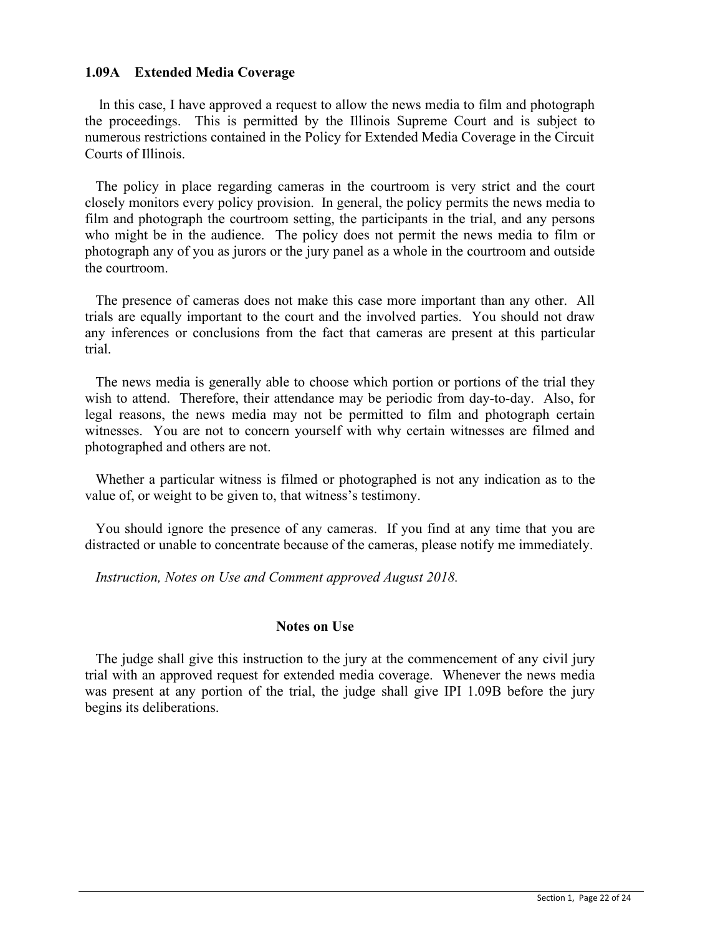## **1.09A Extended Media Coverage**

 ln this case, I have approved a request to allow the news media to film and photograph the proceedings. This is permitted by the Illinois Supreme Court and is subject to numerous restrictions contained in the Policy for Extended Media Coverage in the Circuit Courts of Illinois.

 The policy in place regarding cameras in the courtroom is very strict and the court closely monitors every policy provision. In general, the policy permits the news media to film and photograph the courtroom setting, the participants in the trial, and any persons who might be in the audience. The policy does not permit the news media to film or photograph any of you as jurors or the jury panel as a whole in the courtroom and outside the courtroom.

 The presence of cameras does not make this case more important than any other. All trials are equally important to the court and the involved parties. You should not draw any inferences or conclusions from the fact that cameras are present at this particular trial.

 The news media is generally able to choose which portion or portions of the trial they wish to attend. Therefore, their attendance may be periodic from day-to-day. Also, for legal reasons, the news media may not be permitted to film and photograph certain witnesses. You are not to concern yourself with why certain witnesses are filmed and photographed and others are not.

 Whether a particular witness is filmed or photographed is not any indication as to the value of, or weight to be given to, that witness's testimony.

 You should ignore the presence of any cameras. If you find at any time that you are distracted or unable to concentrate because of the cameras, please notify me immediately.

*Instruction, Notes on Use and Comment approved August 2018.*

## **Notes on Use**

 The judge shall give this instruction to the jury at the commencement of any civil jury trial with an approved request for extended media coverage. Whenever the news media was present at any portion of the trial, the judge shall give IPI 1.09B before the jury begins its deliberations.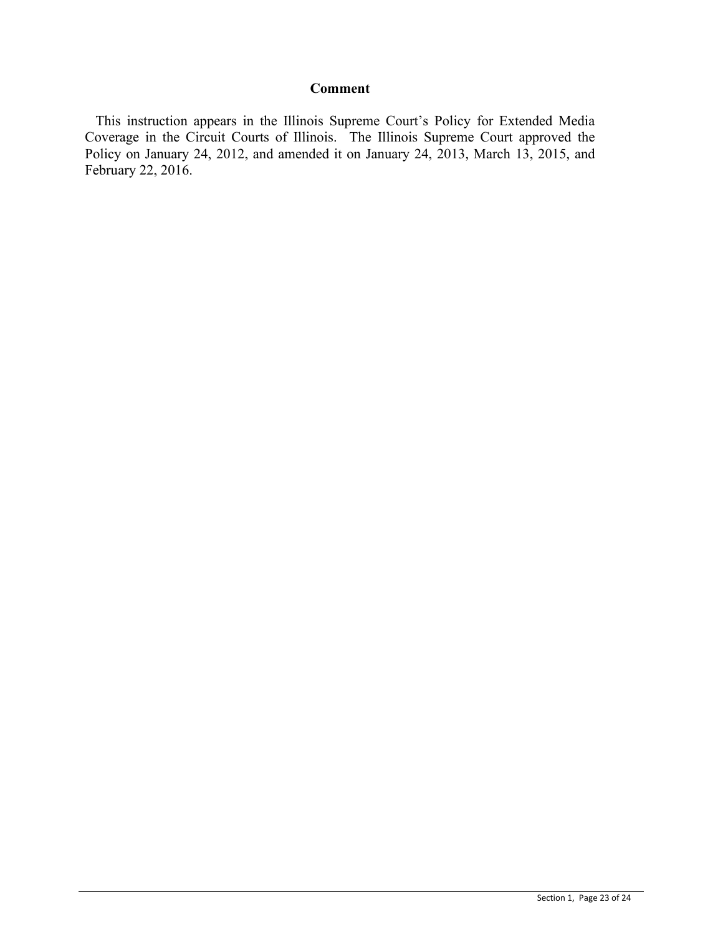## **Comment**

 This instruction appears in the Illinois Supreme Court's Policy for Extended Media Coverage in the Circuit Courts of Illinois. The Illinois Supreme Court approved the Policy on January 24, 2012, and amended it on January 24, 2013, March 13, 2015, and February 22, 2016.